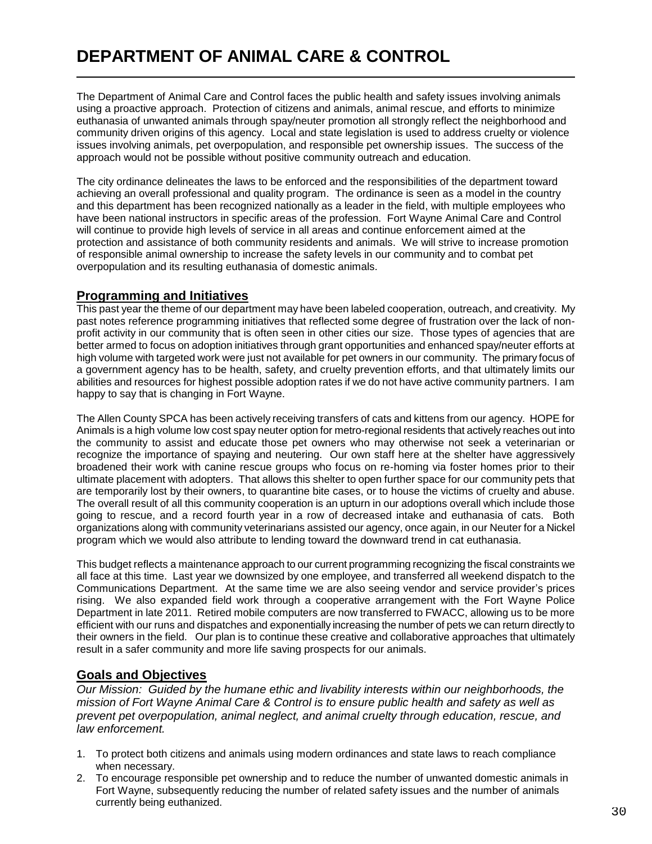The Department of Animal Care and Control faces the public health and safety issues involving animals using a proactive approach. Protection of citizens and animals, animal rescue, and efforts to minimize euthanasia of unwanted animals through spay/neuter promotion all strongly reflect the neighborhood and community driven origins of this agency. Local and state legislation is used to address cruelty or violence issues involving animals, pet overpopulation, and responsible pet ownership issues. The success of the approach would not be possible without positive community outreach and education.

The city ordinance delineates the laws to be enforced and the responsibilities of the department toward achieving an overall professional and quality program. The ordinance is seen as a model in the country and this department has been recognized nationally as a leader in the field, with multiple employees who have been national instructors in specific areas of the profession. Fort Wayne Animal Care and Control will continue to provide high levels of service in all areas and continue enforcement aimed at the protection and assistance of both community residents and animals. We will strive to increase promotion of responsible animal ownership to increase the safety levels in our community and to combat pet overpopulation and its resulting euthanasia of domestic animals.

## **Programming and Initiatives**

This past year the theme of our department may have been labeled cooperation, outreach, and creativity. My past notes reference programming initiatives that reflected some degree of frustration over the lack of nonprofit activity in our community that is often seen in other cities our size. Those types of agencies that are better armed to focus on adoption initiatives through grant opportunities and enhanced spay/neuter efforts at high volume with targeted work were just not available for pet owners in our community. The primary focus of a government agency has to be health, safety, and cruelty prevention efforts, and that ultimately limits our abilities and resources for highest possible adoption rates if we do not have active community partners. I am happy to say that is changing in Fort Wayne.

The Allen County SPCA has been actively receiving transfers of cats and kittens from our agency. HOPE for Animals is a high volume low cost spay neuter option for metro-regional residents that actively reaches out into the community to assist and educate those pet owners who may otherwise not seek a veterinarian or recognize the importance of spaying and neutering. Our own staff here at the shelter have aggressively broadened their work with canine rescue groups who focus on re-homing via foster homes prior to their ultimate placement with adopters. That allows this shelter to open further space for our community pets that are temporarily lost by their owners, to quarantine bite cases, or to house the victims of cruelty and abuse. The overall result of all this community cooperation is an upturn in our adoptions overall which include those going to rescue, and a record fourth year in a row of decreased intake and euthanasia of cats. Both organizations along with community veterinarians assisted our agency, once again, in our Neuter for a Nickel program which we would also attribute to lending toward the downward trend in cat euthanasia.

This budget reflects a maintenance approach to our current programming recognizing the fiscal constraints we all face at this time. Last year we downsized by one employee, and transferred all weekend dispatch to the Communications Department. At the same time we are also seeing vendor and service provider's prices rising. We also expanded field work through a cooperative arrangement with the Fort Wayne Police Department in late 2011. Retired mobile computers are now transferred to FWACC, allowing us to be more efficient with our runs and dispatches and exponentially increasing the number of pets we can return directly to their owners in the field. Our plan is to continue these creative and collaborative approaches that ultimately result in a safer community and more life saving prospects for our animals.

## **Goals and Objectives**

*Our Mission: Guided by the humane ethic and livability interests within our neighborhoods, the mission of Fort Wayne Animal Care & Control is to ensure public health and safety as well as prevent pet overpopulation, animal neglect, and animal cruelty through education, rescue, and law enforcement.*

- 1. To protect both citizens and animals using modern ordinances and state laws to reach compliance when necessary.
- 2. To encourage responsible pet ownership and to reduce the number of unwanted domestic animals in Fort Wayne, subsequently reducing the number of related safety issues and the number of animals currently being euthanized.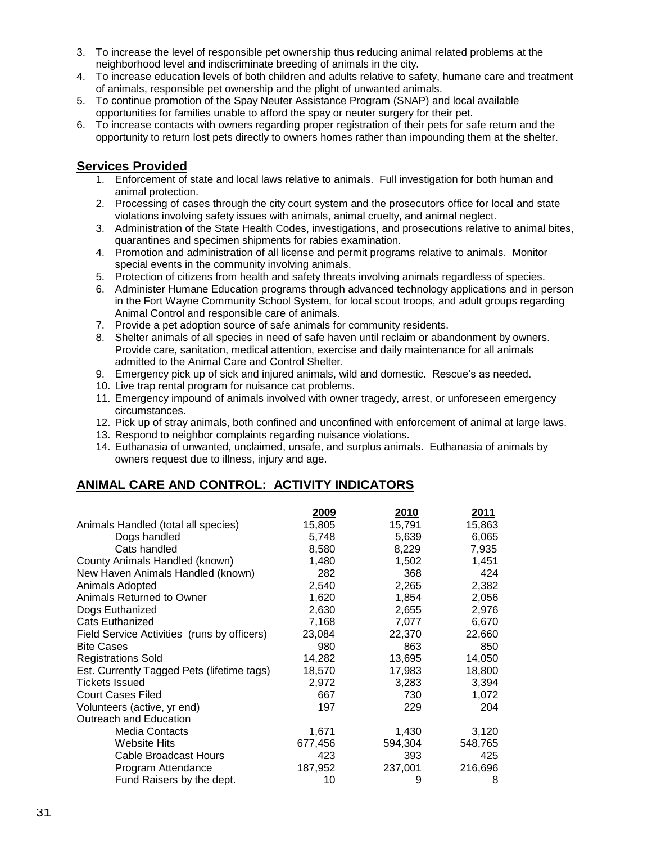- 3. To increase the level of responsible pet ownership thus reducing animal related problems at the neighborhood level and indiscriminate breeding of animals in the city.
- 4. To increase education levels of both children and adults relative to safety, humane care and treatment of animals, responsible pet ownership and the plight of unwanted animals.
- 5. To continue promotion of the Spay Neuter Assistance Program (SNAP) and local available opportunities for families unable to afford the spay or neuter surgery for their pet.
- 6. To increase contacts with owners regarding proper registration of their pets for safe return and the opportunity to return lost pets directly to owners homes rather than impounding them at the shelter.

## **Services Provided**

- 1. Enforcement of state and local laws relative to animals. Full investigation for both human and animal protection.
- 2. Processing of cases through the city court system and the prosecutors office for local and state violations involving safety issues with animals, animal cruelty, and animal neglect.
- 3. Administration of the State Health Codes, investigations, and prosecutions relative to animal bites, quarantines and specimen shipments for rabies examination.
- 4. Promotion and administration of all license and permit programs relative to animals. Monitor special events in the community involving animals.
- 5. Protection of citizens from health and safety threats involving animals regardless of species.
- 6. Administer Humane Education programs through advanced technology applications and in person in the Fort Wayne Community School System, for local scout troops, and adult groups regarding Animal Control and responsible care of animals.
- 7. Provide a pet adoption source of safe animals for community residents.
- 8. Shelter animals of all species in need of safe haven until reclaim or abandonment by owners. Provide care, sanitation, medical attention, exercise and daily maintenance for all animals admitted to the Animal Care and Control Shelter.
- 9. Emergency pick up of sick and injured animals, wild and domestic. Rescue's as needed.
- 10. Live trap rental program for nuisance cat problems.
- 11. Emergency impound of animals involved with owner tragedy, arrest, or unforeseen emergency circumstances.
- 12. Pick up of stray animals, both confined and unconfined with enforcement of animal at large laws.
- 13. Respond to neighbor complaints regarding nuisance violations.
- 14. Euthanasia of unwanted, unclaimed, unsafe, and surplus animals. Euthanasia of animals by owners request due to illness, injury and age.

## **ANIMAL CARE AND CONTROL: ACTIVITY INDICATORS**

|                                             | 2009    | 2010    | <u>2011</u> |
|---------------------------------------------|---------|---------|-------------|
| Animals Handled (total all species)         | 15,805  | 15,791  | 15,863      |
| Dogs handled                                | 5,748   | 5,639   | 6,065       |
| Cats handled                                | 8,580   | 8,229   | 7,935       |
| County Animals Handled (known)              | 1,480   | 1,502   | 1,451       |
| New Haven Animals Handled (known)           | 282     | 368     | 424         |
| Animals Adopted                             | 2,540   | 2,265   | 2,382       |
| Animals Returned to Owner                   | 1,620   | 1,854   | 2,056       |
| Dogs Euthanized                             | 2,630   | 2,655   | 2,976       |
| <b>Cats Euthanized</b>                      | 7,168   | 7,077   | 6,670       |
| Field Service Activities (runs by officers) | 23,084  | 22,370  | 22,660      |
| <b>Bite Cases</b>                           | 980     | 863     | 850         |
| Registrations Sold                          | 14,282  | 13,695  | 14,050      |
| Est. Currently Tagged Pets (lifetime tags)  | 18,570  | 17,983  | 18,800      |
| <b>Tickets Issued</b>                       | 2,972   | 3,283   | 3,394       |
| <b>Court Cases Filed</b>                    | 667     | 730     | 1,072       |
| Volunteers (active, yr end)                 | 197     | 229     | 204         |
| Outreach and Education                      |         |         |             |
| <b>Media Contacts</b>                       | 1,671   | 1,430   | 3,120       |
| <b>Website Hits</b>                         | 677,456 | 594,304 | 548,765     |
| Cable Broadcast Hours                       | 423     | 393     | 425         |
| Program Attendance                          | 187,952 | 237,001 | 216,696     |
| Fund Raisers by the dept.                   | 10      | 9       | 8           |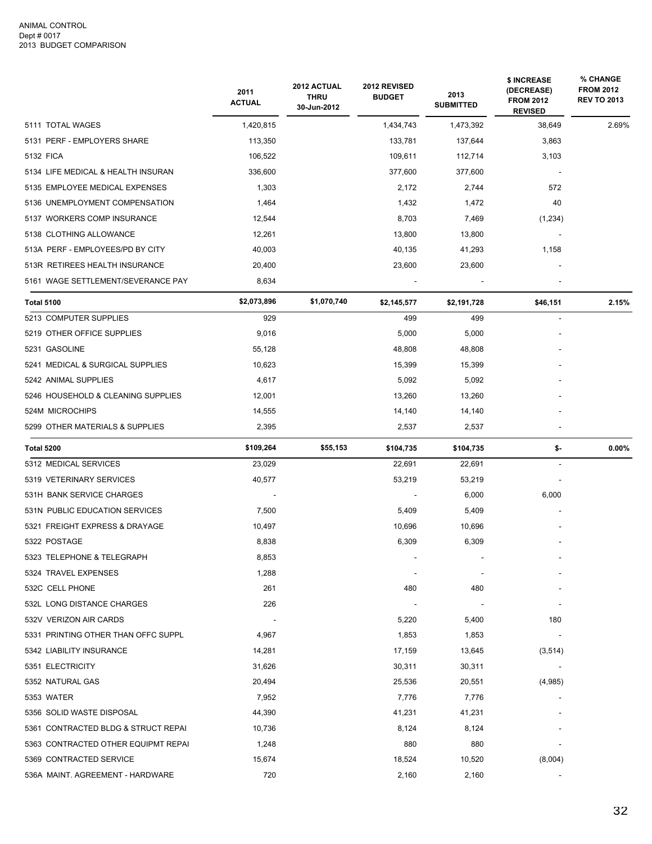|                                     | 2011<br><b>ACTUAL</b> | 2012 ACTUAL<br><b>THRU</b><br>30-Jun-2012 | 2012 REVISED<br><b>BUDGET</b> | 2013<br><b>SUBMITTED</b> | \$ INCREASE<br>(DECREASE)<br><b>FROM 2012</b><br><b>REVISED</b> | % CHANGE<br><b>FROM 2012</b><br><b>REV TO 2013</b> |
|-------------------------------------|-----------------------|-------------------------------------------|-------------------------------|--------------------------|-----------------------------------------------------------------|----------------------------------------------------|
| 5111 TOTAL WAGES                    | 1,420,815             |                                           | 1,434,743                     | 1,473,392                | 38,649                                                          | 2.69%                                              |
| 5131 PERF - EMPLOYERS SHARE         | 113,350               |                                           | 133,781                       | 137,644                  | 3,863                                                           |                                                    |
| 5132 FICA                           | 106,522               |                                           | 109,611                       | 112,714                  | 3,103                                                           |                                                    |
| 5134 LIFE MEDICAL & HEALTH INSURAN  | 336,600               |                                           | 377,600                       | 377,600                  |                                                                 |                                                    |
| 5135 EMPLOYEE MEDICAL EXPENSES      | 1,303                 |                                           | 2,172                         | 2,744                    | 572                                                             |                                                    |
| 5136 UNEMPLOYMENT COMPENSATION      | 1,464                 |                                           | 1,432                         | 1,472                    | 40                                                              |                                                    |
| 5137 WORKERS COMP INSURANCE         | 12,544                |                                           | 8,703                         | 7,469                    | (1,234)                                                         |                                                    |
| 5138 CLOTHING ALLOWANCE             | 12,261                |                                           | 13,800                        | 13,800                   |                                                                 |                                                    |
| 513A PERF - EMPLOYEES/PD BY CITY    | 40,003                |                                           | 40,135                        | 41,293                   | 1,158                                                           |                                                    |
| 513R RETIREES HEALTH INSURANCE      | 20,400                |                                           | 23,600                        | 23,600                   |                                                                 |                                                    |
| 5161 WAGE SETTLEMENT/SEVERANCE PAY  | 8,634                 |                                           |                               |                          |                                                                 |                                                    |
| Total 5100                          | \$2,073,896           | \$1,070,740                               | \$2,145,577                   | \$2,191,728              | \$46,151                                                        | 2.15%                                              |
| 5213 COMPUTER SUPPLIES              | 929                   |                                           | 499                           | 499                      | $\overline{\phantom{a}}$                                        |                                                    |
| 5219 OTHER OFFICE SUPPLIES          | 9,016                 |                                           | 5,000                         | 5,000                    |                                                                 |                                                    |
| 5231 GASOLINE                       | 55,128                |                                           | 48,808                        | 48,808                   |                                                                 |                                                    |
| 5241 MEDICAL & SURGICAL SUPPLIES    | 10,623                |                                           | 15,399                        | 15,399                   |                                                                 |                                                    |
| 5242 ANIMAL SUPPLIES                | 4,617                 |                                           | 5,092                         | 5,092                    |                                                                 |                                                    |
| 5246 HOUSEHOLD & CLEANING SUPPLIES  | 12,001                |                                           | 13,260                        | 13,260                   |                                                                 |                                                    |
| 524M MICROCHIPS                     | 14,555                |                                           | 14,140                        | 14,140                   |                                                                 |                                                    |
| 5299 OTHER MATERIALS & SUPPLIES     | 2,395                 |                                           | 2,537                         | 2,537                    |                                                                 |                                                    |
| <b>Total 5200</b>                   | \$109,264             | \$55,153                                  | \$104,735                     | \$104,735                | \$-                                                             | $0.00\%$                                           |
| 5312 MEDICAL SERVICES               | 23,029                |                                           | 22,691                        | 22,691                   |                                                                 |                                                    |
| 5319 VETERINARY SERVICES            | 40,577                |                                           | 53,219                        | 53,219                   |                                                                 |                                                    |
| 531H BANK SERVICE CHARGES           |                       |                                           |                               | 6,000                    | 6,000                                                           |                                                    |
| 531N PUBLIC EDUCATION SERVICES      | 7,500                 |                                           | 5,409                         | 5,409                    |                                                                 |                                                    |
| 5321 FREIGHT EXPRESS & DRAYAGE      | 10,497                |                                           | 10,696                        | 10,696                   |                                                                 |                                                    |
| 5322 POSTAGE                        | 8,838                 |                                           | 6,309                         | 6,309                    |                                                                 |                                                    |
| 5323 TELEPHONE & TELEGRAPH          | 8,853                 |                                           |                               |                          |                                                                 |                                                    |
| 5324 TRAVEL EXPENSES                | 1,288                 |                                           |                               |                          |                                                                 |                                                    |
| 532C CELL PHONE                     | 261                   |                                           | 480                           | 480                      |                                                                 |                                                    |
| 532L LONG DISTANCE CHARGES          | 226                   |                                           |                               |                          |                                                                 |                                                    |
| 532V VERIZON AIR CARDS              |                       |                                           | 5,220                         | 5,400                    | 180                                                             |                                                    |
| 5331 PRINTING OTHER THAN OFFC SUPPL | 4,967                 |                                           | 1,853                         | 1,853                    |                                                                 |                                                    |
| 5342 LIABILITY INSURANCE            | 14,281                |                                           | 17,159                        | 13,645                   | (3,514)                                                         |                                                    |
| 5351 ELECTRICITY                    | 31,626                |                                           | 30,311                        | 30,311                   |                                                                 |                                                    |
| 5352 NATURAL GAS                    | 20,494                |                                           | 25,536                        | 20,551                   | (4,985)                                                         |                                                    |
| 5353 WATER                          | 7,952                 |                                           | 7,776                         | 7,776                    |                                                                 |                                                    |
| 5356 SOLID WASTE DISPOSAL           | 44,390                |                                           | 41,231                        | 41,231                   |                                                                 |                                                    |
| 5361 CONTRACTED BLDG & STRUCT REPAI | 10,736                |                                           | 8,124                         | 8,124                    |                                                                 |                                                    |
| 5363 CONTRACTED OTHER EQUIPMT REPAI | 1,248                 |                                           | 880                           | 880                      |                                                                 |                                                    |
| 5369 CONTRACTED SERVICE             | 15,674                |                                           | 18,524                        | 10,520                   | (8,004)                                                         |                                                    |
| 536A MAINT. AGREEMENT - HARDWARE    | 720                   |                                           | 2,160                         | 2,160                    |                                                                 |                                                    |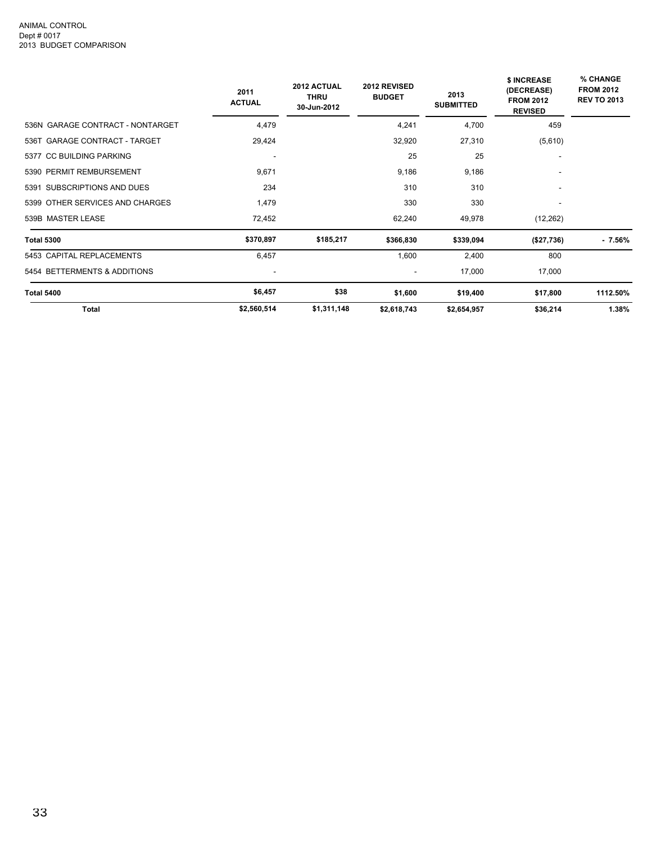|                                  | 2011<br><b>ACTUAL</b> | 2012 ACTUAL<br><b>THRU</b><br>30-Jun-2012 | 2012 REVISED<br><b>BUDGET</b> | 2013<br><b>SUBMITTED</b> | \$ INCREASE<br>(DECREASE)<br><b>FROM 2012</b><br><b>REVISED</b> | % CHANGE<br><b>FROM 2012</b><br><b>REV TO 2013</b> |
|----------------------------------|-----------------------|-------------------------------------------|-------------------------------|--------------------------|-----------------------------------------------------------------|----------------------------------------------------|
| 536N GARAGE CONTRACT - NONTARGET | 4,479                 |                                           | 4,241                         | 4,700                    | 459                                                             |                                                    |
| 536T GARAGE CONTRACT - TARGET    | 29,424                |                                           | 32,920                        | 27,310                   | (5,610)                                                         |                                                    |
| 5377 CC BUILDING PARKING         |                       |                                           | 25                            | 25                       |                                                                 |                                                    |
| 5390 PERMIT REMBURSEMENT         | 9,671                 |                                           | 9,186                         | 9,186                    | ۰                                                               |                                                    |
| 5391 SUBSCRIPTIONS AND DUES      | 234                   |                                           | 310                           | 310                      |                                                                 |                                                    |
| 5399 OTHER SERVICES AND CHARGES  | 1,479                 |                                           | 330                           | 330                      |                                                                 |                                                    |
| 539B MASTER LEASE                | 72,452                |                                           | 62,240                        | 49,978                   | (12, 262)                                                       |                                                    |
| <b>Total 5300</b>                | \$370,897             | \$185,217                                 | \$366,830                     | \$339,094                | (\$27,736)                                                      | $-7.56%$                                           |
| 5453 CAPITAL REPLACEMENTS        | 6,457                 |                                           | 1,600                         | 2,400                    | 800                                                             |                                                    |
| 5454 BETTERMENTS & ADDITIONS     | ۰                     |                                           | $\overline{\phantom{a}}$      | 17,000                   | 17,000                                                          |                                                    |
| Total 5400                       | \$6,457               | \$38                                      | \$1,600                       | \$19,400                 | \$17,800                                                        | 1112.50%                                           |
| <b>Total</b>                     | \$2,560,514           | \$1,311,148                               | \$2,618,743                   | \$2,654,957              | \$36,214                                                        | 1.38%                                              |